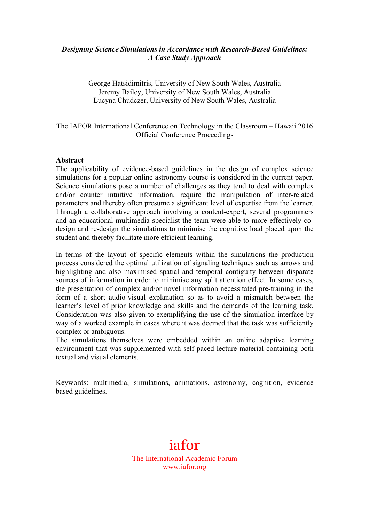## *Designing Science Simulations in Accordance with Research-Based Guidelines: A Case Study Approach*

George Hatsidimitris, University of New South Wales, Australia Jeremy Bailey, University of New South Wales, Australia Lucyna Chudczer, University of New South Wales, Australia

## The IAFOR International Conference on Technology in the Classroom – Hawaii 2016 Official Conference Proceedings

#### **Abstract**

The applicability of evidence-based guidelines in the design of complex science simulations for a popular online astronomy course is considered in the current paper. Science simulations pose a number of challenges as they tend to deal with complex and/or counter intuitive information, require the manipulation of inter-related parameters and thereby often presume a significant level of expertise from the learner. Through a collaborative approach involving a content-expert, several programmers and an educational multimedia specialist the team were able to more effectively codesign and re-design the simulations to minimise the cognitive load placed upon the student and thereby facilitate more efficient learning.

In terms of the layout of specific elements within the simulations the production process considered the optimal utilization of signaling techniques such as arrows and highlighting and also maximised spatial and temporal contiguity between disparate sources of information in order to minimise any split attention effect. In some cases, the presentation of complex and/or novel information necessitated pre-training in the form of a short audio-visual explanation so as to avoid a mismatch between the learner's level of prior knowledge and skills and the demands of the learning task. Consideration was also given to exemplifying the use of the simulation interface by way of a worked example in cases where it was deemed that the task was sufficiently complex or ambiguous.

The simulations themselves were embedded within an online adaptive learning environment that was supplemented with self-paced lecture material containing both textual and visual elements.

Keywords: multimedia, simulations, animations, astronomy, cognition, evidence based guidelines.

# iafor The International Academic Forum www.iafor.org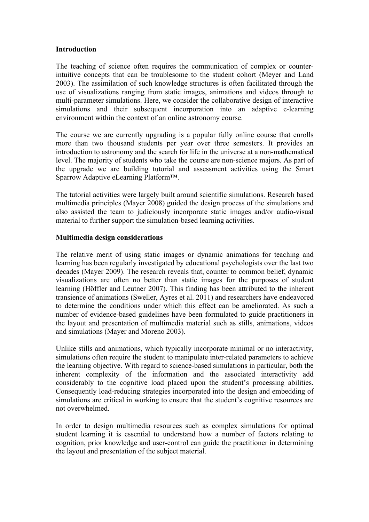#### **Introduction**

The teaching of science often requires the communication of complex or counterintuitive concepts that can be troublesome to the student cohort (Meyer and Land 2003). The assimilation of such knowledge structures is often facilitated through the use of visualizations ranging from static images, animations and videos through to multi-parameter simulations. Here, we consider the collaborative design of interactive simulations and their subsequent incorporation into an adaptive e-learning environment within the context of an online astronomy course.

The course we are currently upgrading is a popular fully online course that enrolls more than two thousand students per year over three semesters. It provides an introduction to astronomy and the search for life in the universe at a non-mathematical level. The majority of students who take the course are non-science majors. As part of the upgrade we are building tutorial and assessment activities using the Smart Sparrow Adaptive eLearning Platform™.

The tutorial activities were largely built around scientific simulations. Research based multimedia principles (Mayer 2008) guided the design process of the simulations and also assisted the team to judiciously incorporate static images and/or audio-visual material to further support the simulation-based learning activities.

## **Multimedia design considerations**

The relative merit of using static images or dynamic animations for teaching and learning has been regularly investigated by educational psychologists over the last two decades (Mayer 2009). The research reveals that, counter to common belief, dynamic visualizations are often no better than static images for the purposes of student learning (Höffler and Leutner 2007). This finding has been attributed to the inherent transience of animations (Sweller, Ayres et al. 2011) and researchers have endeavored to determine the conditions under which this effect can be ameliorated. As such a number of evidence-based guidelines have been formulated to guide practitioners in the layout and presentation of multimedia material such as stills, animations, videos and simulations (Mayer and Moreno 2003).

Unlike stills and animations, which typically incorporate minimal or no interactivity, simulations often require the student to manipulate inter-related parameters to achieve the learning objective. With regard to science-based simulations in particular, both the inherent complexity of the information and the associated interactivity add considerably to the cognitive load placed upon the student's processing abilities. Consequently load-reducing strategies incorporated into the design and embedding of simulations are critical in working to ensure that the student's cognitive resources are not overwhelmed.

In order to design multimedia resources such as complex simulations for optimal student learning it is essential to understand how a number of factors relating to cognition, prior knowledge and user-control can guide the practitioner in determining the layout and presentation of the subject material.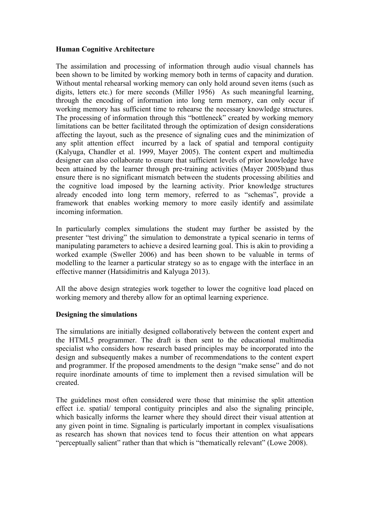## **Human Cognitive Architecture**

The assimilation and processing of information through audio visual channels has been shown to be limited by working memory both in terms of capacity and duration. Without mental rehearsal working memory can only hold around seven items (such as digits, letters etc.) for mere seconds (Miller 1956) As such meaningful learning, through the encoding of information into long term memory, can only occur if working memory has sufficient time to rehearse the necessary knowledge structures. The processing of information through this "bottleneck" created by working memory limitations can be better facilitated through the optimization of design considerations affecting the layout, such as the presence of signaling cues and the minimization of any split attention effect incurred by a lack of spatial and temporal contiguity (Kalyuga, Chandler et al. 1999, Mayer 2005). The content expert and multimedia designer can also collaborate to ensure that sufficient levels of prior knowledge have been attained by the learner through pre-training activities (Mayer 2005b)and thus ensure there is no significant mismatch between the students processing abilities and the cognitive load imposed by the learning activity. Prior knowledge structures already encoded into long term memory, referred to as "schemas", provide a framework that enables working memory to more easily identify and assimilate incoming information.

In particularly complex simulations the student may further be assisted by the presenter "test driving" the simulation to demonstrate a typical scenario in terms of manipulating parameters to achieve a desired learning goal. This is akin to providing a worked example (Sweller 2006) and has been shown to be valuable in terms of modelling to the learner a particular strategy so as to engage with the interface in an effective manner (Hatsidimitris and Kalyuga 2013).

All the above design strategies work together to lower the cognitive load placed on working memory and thereby allow for an optimal learning experience.

## **Designing the simulations**

The simulations are initially designed collaboratively between the content expert and the HTML5 programmer. The draft is then sent to the educational multimedia specialist who considers how research based principles may be incorporated into the design and subsequently makes a number of recommendations to the content expert and programmer. If the proposed amendments to the design "make sense" and do not require inordinate amounts of time to implement then a revised simulation will be created.

The guidelines most often considered were those that minimise the split attention effect i.e. spatial/ temporal contiguity principles and also the signaling principle, which basically informs the learner where they should direct their visual attention at any given point in time. Signaling is particularly important in complex visualisations as research has shown that novices tend to focus their attention on what appears "perceptually salient" rather than that which is "thematically relevant" (Lowe 2008).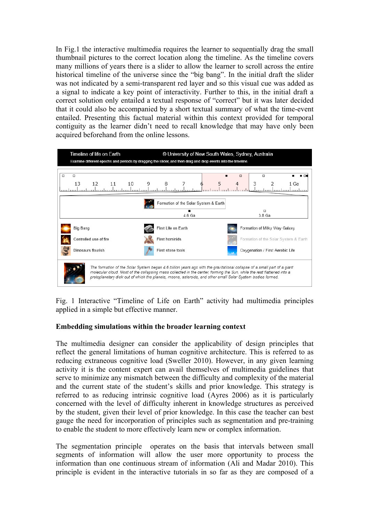In Fig.1 the interactive multimedia requires the learner to sequentially drag the small thumbnail pictures to the correct location along the timeline. As the timeline covers many millions of years there is a slider to allow the learner to scroll across the entire historical timeline of the universe since the "big bang". In the initial draft the slider was not indicated by a semi-transparent red layer and so this visual cue was added as a signal to indicate a key point of interactivity. Further to this, in the initial draft a correct solution only entailed a textual response of "correct" but it was later decided that it could also be accompanied by a short textual summary of what the time-event entailed. Presenting this factual material within this context provided for temporal contiguity as the learner didn't need to recall knowledge that may have only been acquired beforehand from the online lessons.



Fig. 1 Interactive "Timeline of Life on Earth" activity had multimedia principles applied in a simple but effective manner.

#### **Embedding simulations within the broader learning context**

The multimedia designer can consider the applicability of design principles that reflect the general limitations of human cognitive architecture. This is referred to as reducing extraneous cognitive load (Sweller 2010). However, in any given learning activity it is the content expert can avail themselves of multimedia guidelines that serve to minimize any mismatch between the difficulty and complexity of the material and the current state of the student's skills and prior knowledge. This strategy is referred to as reducing intrinsic cognitive load (Ayres 2006) as it is particularly concerned with the level of difficulty inherent in knowledge structures as perceived by the student, given their level of prior knowledge. In this case the teacher can best gauge the need for incorporation of principles such as segmentation and pre-training to enable the student to more effectively learn new or complex information.

The segmentation principle operates on the basis that intervals between small segments of information will allow the user more opportunity to process the information than one continuous stream of information (Ali and Madar 2010). This principle is evident in the interactive tutorials in so far as they are composed of a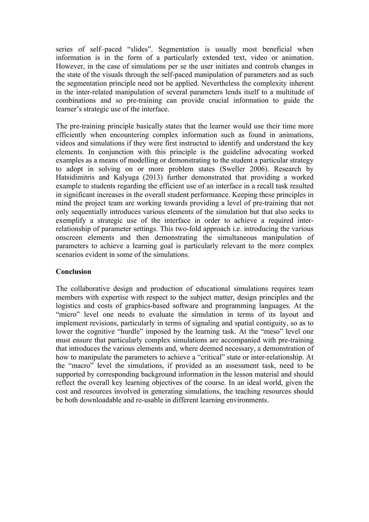series of self–paced "slides". Segmentation is usually most beneficial when information is in the form of a particularly extended text, video or animation. However, in the case of simulations per se the user initiates and controls changes in the state of the visuals through the self-paced manipulation of parameters and as such the segmentation principle need not be applied. Nevertheless the complexity inherent in the inter-related manipulation of several parameters lends itself to a multitude of combinations and so pre-training can provide crucial information to guide the learner's strategic use of the interface.

The pre-training principle basically states that the learner would use their time more efficiently when encountering complex information such as found in animations, videos and simulations if they were first instructed to identify and understand the key elements. In conjunction with this principle is the guideline advocating worked examples as a means of modelling or demonstrating to the student a particular strategy to adopt in solving on or more problem states (Sweller 2006). Research by Hatsidimitris and Kalyuga (2013) further demonstrated that providing a worked example to students regarding the efficient use of an interface in a recall task resulted in significant increases in the overall student performance. Keeping these principles in mind the project team are working towards providing a level of pre-training that not only sequentially introduces various elements of the simulation but that also seeks to exemplify a strategic use of the interface in order to achieve a required interrelationship of parameter settings. This two-fold approach i.e. introducing the various onscreen elements and then demonstrating the simultaneous manipulation of parameters to achieve a learning goal is particularly relevant to the more complex scenarios evident in some of the simulations.

#### **Conclusion**

The collaborative design and production of educational simulations requires team members with expertise with respect to the subject matter, design principles and the logistics and costs of graphics-based software and programming languages. At the "micro" level one needs to evaluate the simulation in terms of its layout and implement revisions, particularly in terms of signaling and spatial contiguity, so as to lower the cognitive "hurdle" imposed by the learning task. At the "meso" level one must ensure that particularly complex simulations are accompanied with pre-training that introduces the various elements and, where deemed necessary, a demonstration of how to manipulate the parameters to achieve a "critical" state or inter-relationship. At the "macro" level the simulations, if provided as an assessment task, need to be supported by corresponding background information in the lesson material and should reflect the overall key learning objectives of the course. In an ideal world, given the cost and resources involved in generating simulations, the teaching resources should be both downloadable and re-usable in different learning environments.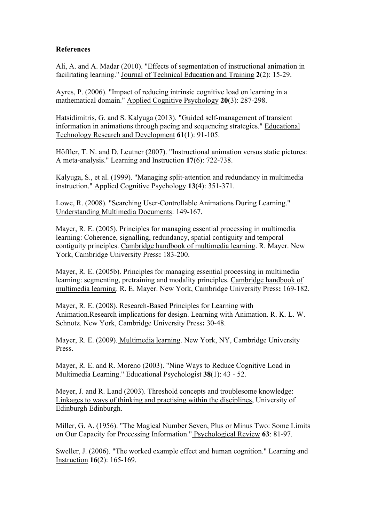## **References**

Ali, A. and A. Madar (2010). "Effects of segmentation of instructional animation in facilitating learning." Journal of Technical Education and Training **2**(2): 15-29.

Ayres, P. (2006). "Impact of reducing intrinsic cognitive load on learning in a mathematical domain." Applied Cognitive Psychology **20**(3): 287-298.

Hatsidimitris, G. and S. Kalyuga (2013). "Guided self-management of transient information in animations through pacing and sequencing strategies." Educational Technology Research and Development **61**(1): 91-105.

Höffler, T. N. and D. Leutner (2007). "Instructional animation versus static pictures: A meta-analysis." Learning and Instruction **17**(6): 722-738.

Kalyuga, S., et al. (1999). "Managing split-attention and redundancy in multimedia instruction." Applied Cognitive Psychology **13**(4): 351-371.

Lowe, R. (2008). "Searching User-Controllable Animations During Learning." Understanding Multimedia Documents: 149-167.

Mayer, R. E. (2005). Principles for managing essential processing in multimedia learning: Coherence, signalling, redundancy, spatial contiguity and temporal contiguity principles. Cambridge handbook of multimedia learning. R. Mayer. New York, Cambridge University Press**:** 183-200.

Mayer, R. E. (2005b). Principles for managing essential processing in multimedia learning: segmenting, pretraining and modality principles. Cambridge handbook of multimedia learning. R. E. Mayer. New York, Cambridge University Press**:** 169-182.

Mayer, R. E. (2008). Research-Based Principles for Learning with Animation.Research implications for design. Learning with Animation. R. K. L. W. Schnotz. New York, Cambridge University Press**:** 30-48.

Mayer, R. E. (2009). Multimedia learning. New York, NY, Cambridge University Press.

Mayer, R. E. and R. Moreno (2003). "Nine Ways to Reduce Cognitive Load in Multimedia Learning." Educational Psychologist **38**(1): 43 - 52.

Meyer, J. and R. Land (2003). Threshold concepts and troublesome knowledge: Linkages to ways of thinking and practising within the disciplines, University of Edinburgh Edinburgh.

Miller, G. A. (1956). "The Magical Number Seven, Plus or Minus Two: Some Limits on Our Capacity for Processing Information." Psychological Review **63**: 81-97.

Sweller, J. (2006). "The worked example effect and human cognition." Learning and Instruction **16**(2): 165-169.